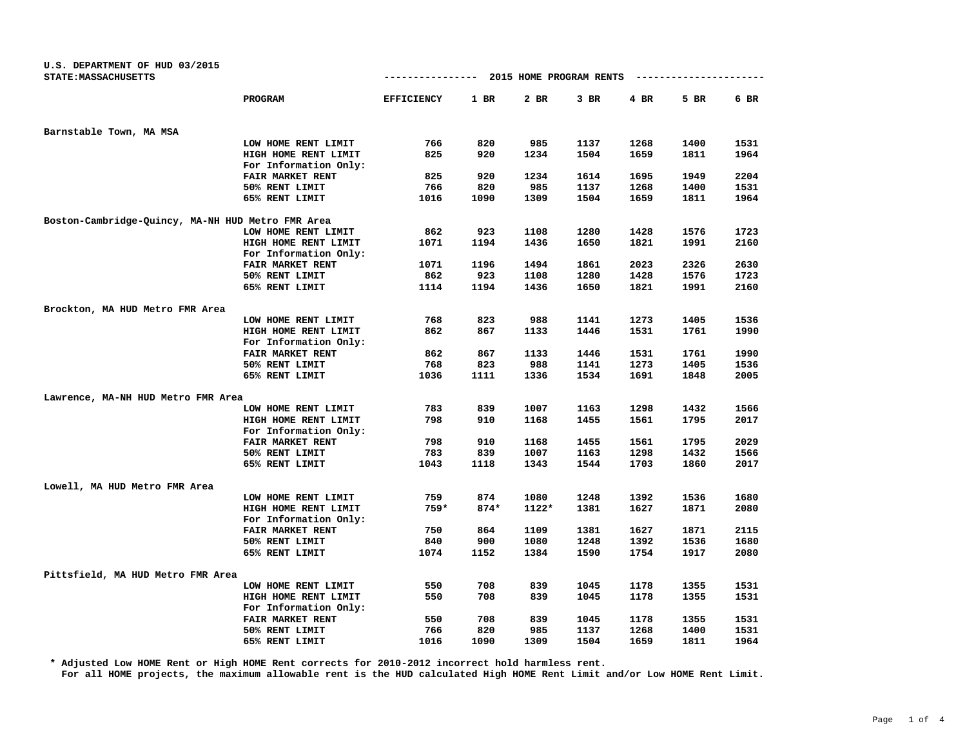| U.S. DEPARTMENT OF HUD 03/2015                    |                         |                                                              |        |         |        |      |      |      |
|---------------------------------------------------|-------------------------|--------------------------------------------------------------|--------|---------|--------|------|------|------|
| STATE: MASSACHUSETTS                              |                         | 2015 HOME PROGRAM RENTS<br>----------------<br>------------- |        |         |        |      |      |      |
|                                                   | PROGRAM                 | <b>EFFICIENCY</b>                                            | $1$ BR | 2 BR    | $3$ BR | 4 BR | 5 BR | 6 BR |
| Barnstable Town, MA MSA                           |                         |                                                              |        |         |        |      |      |      |
|                                                   | LOW HOME RENT LIMIT     | 766                                                          | 820    | 985     | 1137   | 1268 | 1400 | 1531 |
|                                                   | HIGH HOME RENT LIMIT    | 825                                                          | 920    | 1234    | 1504   | 1659 | 1811 | 1964 |
|                                                   | For Information Only:   |                                                              |        |         |        |      |      |      |
|                                                   | <b>FAIR MARKET RENT</b> | 825                                                          | 920    | 1234    | 1614   | 1695 | 1949 | 2204 |
|                                                   | 50% RENT LIMIT          | 766                                                          | 820    | 985     | 1137   | 1268 | 1400 | 1531 |
|                                                   | 65% RENT LIMIT          | 1016                                                         | 1090   | 1309    | 1504   | 1659 | 1811 | 1964 |
| Boston-Cambridge-Quincy, MA-NH HUD Metro FMR Area |                         |                                                              |        |         |        |      |      |      |
|                                                   | LOW HOME RENT LIMIT     | 862                                                          | 923    | 1108    | 1280   | 1428 | 1576 | 1723 |
|                                                   | HIGH HOME RENT LIMIT    | 1071                                                         | 1194   | 1436    | 1650   | 1821 | 1991 | 2160 |
|                                                   | For Information Only:   |                                                              |        |         |        |      |      |      |
|                                                   | FAIR MARKET RENT        | 1071                                                         | 1196   | 1494    | 1861   | 2023 | 2326 | 2630 |
|                                                   | 50% RENT LIMIT          | 862                                                          | 923    | 1108    | 1280   | 1428 | 1576 | 1723 |
|                                                   | 65% RENT LIMIT          | 1114                                                         | 1194   | 1436    | 1650   | 1821 | 1991 | 2160 |
| Brockton, MA HUD Metro FMR Area                   |                         |                                                              |        |         |        |      |      |      |
|                                                   | LOW HOME RENT LIMIT     | 768                                                          | 823    | 988     | 1141   | 1273 | 1405 | 1536 |
|                                                   | HIGH HOME RENT LIMIT    | 862                                                          | 867    | 1133    | 1446   | 1531 | 1761 | 1990 |
|                                                   | For Information Only:   |                                                              |        |         |        |      |      |      |
|                                                   | <b>FAIR MARKET RENT</b> | 862                                                          | 867    | 1133    | 1446   | 1531 | 1761 | 1990 |
|                                                   | 50% RENT LIMIT          | 768                                                          | 823    | 988     | 1141   | 1273 | 1405 | 1536 |
|                                                   | 65% RENT LIMIT          | 1036                                                         | 1111   | 1336    | 1534   | 1691 | 1848 | 2005 |
| Lawrence, MA-NH HUD Metro FMR Area                |                         |                                                              |        |         |        |      |      |      |
|                                                   | LOW HOME RENT LIMIT     | 783                                                          | 839    | 1007    | 1163   | 1298 | 1432 | 1566 |
|                                                   | HIGH HOME RENT LIMIT    | 798                                                          | 910    | 1168    | 1455   | 1561 | 1795 | 2017 |
|                                                   | For Information Only:   |                                                              |        |         |        |      |      |      |
|                                                   | FAIR MARKET RENT        | 798                                                          | 910    | 1168    | 1455   | 1561 | 1795 | 2029 |
|                                                   | 50% RENT LIMIT          | 783                                                          | 839    | 1007    | 1163   | 1298 | 1432 | 1566 |
|                                                   | 65% RENT LIMIT          | 1043                                                         | 1118   | 1343    | 1544   | 1703 | 1860 | 2017 |
| Lowell, MA HUD Metro FMR Area                     |                         |                                                              |        |         |        |      |      |      |
|                                                   | LOW HOME RENT LIMIT     | 759                                                          | 874    | 1080    | 1248   | 1392 | 1536 | 1680 |
|                                                   | HIGH HOME RENT LIMIT    | $759*$                                                       | $874*$ | $1122*$ | 1381   | 1627 | 1871 | 2080 |
|                                                   | For Information Only:   |                                                              |        |         |        |      |      |      |
|                                                   | <b>FAIR MARKET RENT</b> | 750                                                          | 864    | 1109    | 1381   | 1627 | 1871 | 2115 |
|                                                   | 50% RENT LIMIT          | 840                                                          | 900    | 1080    | 1248   | 1392 | 1536 | 1680 |
|                                                   | 65% RENT LIMIT          | 1074                                                         | 1152   | 1384    | 1590   | 1754 | 1917 | 2080 |
| Pittsfield, MA HUD Metro FMR Area                 |                         |                                                              |        |         |        |      |      |      |
|                                                   | LOW HOME RENT LIMIT     | 550                                                          | 708    | 839     | 1045   | 1178 | 1355 | 1531 |
|                                                   | HIGH HOME RENT LIMIT    | 550                                                          | 708    | 839     | 1045   | 1178 | 1355 | 1531 |
|                                                   | For Information Only:   |                                                              |        |         |        |      |      |      |
|                                                   | FAIR MARKET RENT        | 550                                                          | 708    | 839     | 1045   | 1178 | 1355 | 1531 |
|                                                   | 50% RENT LIMIT          | 766                                                          | 820    | 985     | 1137   | 1268 | 1400 | 1531 |
|                                                   | 65% RENT LIMIT          | 1016                                                         | 1090   | 1309    | 1504   | 1659 | 1811 | 1964 |

**\* Adjusted Low HOME Rent or High HOME Rent corrects for 2010-2012 incorrect hold harmless rent.**

**For all HOME projects, the maximum allowable rent is the HUD calculated High HOME Rent Limit and/or Low HOME Rent Limit.**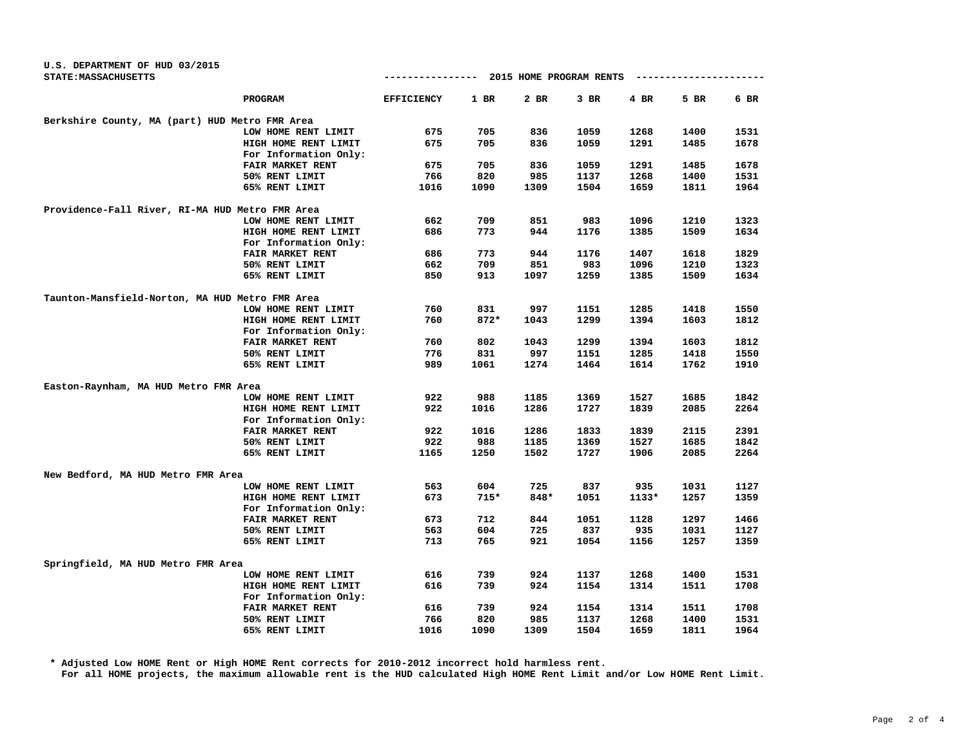| U.S. DEPARTMENT OF HUD 03/2015                  |                       |                   |        |                         |      |         |                   |      |
|-------------------------------------------------|-----------------------|-------------------|--------|-------------------------|------|---------|-------------------|------|
| STATE: MASSACHUSETTS                            |                       | ---------------   |        | 2015 HOME PROGRAM RENTS |      |         | ----------------- |      |
|                                                 | PROGRAM               | <b>EFFICIENCY</b> | 1 BR   | 2 BR                    | 3 BR | 4 BR    | 5 BR              | 6 BR |
| Berkshire County, MA (part) HUD Metro FMR Area  |                       |                   |        |                         |      |         |                   |      |
|                                                 | LOW HOME RENT LIMIT   | 675               | 705    | 836                     | 1059 | 1268    | 1400              | 1531 |
|                                                 | HIGH HOME RENT LIMIT  | 675               | 705    | 836                     | 1059 | 1291    | 1485              | 1678 |
|                                                 | For Information Only: |                   |        |                         |      |         |                   |      |
|                                                 | FAIR MARKET RENT      | 675               | 705    | 836                     | 1059 | 1291    | 1485              | 1678 |
|                                                 | 50% RENT LIMIT        | 766               | 820    | 985                     | 1137 | 1268    | 1400              | 1531 |
|                                                 | 65% RENT LIMIT        | 1016              | 1090   | 1309                    | 1504 | 1659    | 1811              | 1964 |
| Providence-Fall River, RI-MA HUD Metro FMR Area |                       |                   |        |                         |      |         |                   |      |
|                                                 | LOW HOME RENT LIMIT   | 662               | 709    | 851                     | 983  | 1096    | 1210              | 1323 |
|                                                 | HIGH HOME RENT LIMIT  | 686               | 773    | 944                     | 1176 | 1385    | 1509              | 1634 |
|                                                 | For Information Only: |                   |        |                         |      |         |                   |      |
|                                                 | FAIR MARKET RENT      | 686               | 773    | 944                     | 1176 | 1407    | 1618              | 1829 |
|                                                 | 50% RENT LIMIT        | 662               | 709    | 851                     | 983  | 1096    | 1210              | 1323 |
|                                                 | 65% RENT LIMIT        | 850               | 913    | 1097                    | 1259 | 1385    | 1509              | 1634 |
|                                                 |                       |                   |        |                         |      |         |                   |      |
| Taunton-Mansfield-Norton, MA HUD Metro FMR Area |                       |                   |        |                         |      |         |                   |      |
|                                                 | LOW HOME RENT LIMIT   | 760               | 831    | 997                     | 1151 | 1285    | 1418              | 1550 |
|                                                 | HIGH HOME RENT LIMIT  | 760               | $872*$ | 1043                    | 1299 | 1394    | 1603              | 1812 |
|                                                 | For Information Only: |                   |        |                         |      |         |                   |      |
|                                                 | FAIR MARKET RENT      | 760               | 802    | 1043                    | 1299 | 1394    | 1603              | 1812 |
|                                                 | 50% RENT LIMIT        | 776               | 831    | 997                     | 1151 | 1285    | 1418              | 1550 |
|                                                 | 65% RENT LIMIT        | 989               | 1061   | 1274                    | 1464 | 1614    | 1762              | 1910 |
| Easton-Raynham, MA HUD Metro FMR Area           |                       |                   |        |                         |      |         |                   |      |
|                                                 | LOW HOME RENT LIMIT   | 922               | 988    | 1185                    | 1369 | 1527    | 1685              | 1842 |
|                                                 | HIGH HOME RENT LIMIT  | 922               | 1016   | 1286                    | 1727 | 1839    | 2085              | 2264 |
|                                                 | For Information Only: |                   |        |                         |      |         |                   |      |
|                                                 | FAIR MARKET RENT      | 922               | 1016   | 1286                    | 1833 | 1839    | 2115              | 2391 |
|                                                 | 50% RENT LIMIT        | 922               | 988    | 1185                    | 1369 | 1527    | 1685              | 1842 |
|                                                 | 65% RENT LIMIT        | 1165              | 1250   | 1502                    | 1727 | 1906    | 2085              | 2264 |
| New Bedford, MA HUD Metro FMR Area              |                       |                   |        |                         |      |         |                   |      |
|                                                 | LOW HOME RENT LIMIT   | 563               | 604    | 725                     | 837  | 935     | 1031              | 1127 |
|                                                 | HIGH HOME RENT LIMIT  | 673               | $715*$ | 848*                    | 1051 | $1133*$ | 1257              | 1359 |
|                                                 | For Information Only: |                   |        |                         |      |         |                   |      |
|                                                 | FAIR MARKET RENT      | 673               | 712    | 844                     | 1051 | 1128    | 1297              | 1466 |
|                                                 | 50% RENT LIMIT        | 563               | 604    | 725                     | 837  | 935     | 1031              | 1127 |
|                                                 | 65% RENT LIMIT        | 713               | 765    | 921                     | 1054 | 1156    | 1257              | 1359 |
| Springfield, MA HUD Metro FMR Area              |                       |                   |        |                         |      |         |                   |      |
|                                                 | LOW HOME RENT LIMIT   | 616               | 739    | 924                     | 1137 | 1268    | 1400              | 1531 |
|                                                 | HIGH HOME RENT LIMIT  | 616               | 739    | 924                     | 1154 | 1314    | 1511              | 1708 |
|                                                 | For Information Only: |                   |        |                         |      |         |                   |      |
|                                                 | FAIR MARKET RENT      | 616               | 739    | 924                     | 1154 | 1314    | 1511              | 1708 |
|                                                 | 50% RENT LIMIT        | 766               | 820    | 985                     | 1137 | 1268    | 1400              | 1531 |
|                                                 | 65% RENT LIMIT        | 1016              | 1090   | 1309                    | 1504 | 1659    | 1811              | 1964 |
|                                                 |                       |                   |        |                         |      |         |                   |      |

**\* Adjusted Low HOME Rent or High HOME Rent corrects for 2010-2012 incorrect hold harmless rent. For all HOME projects, the maximum allowable rent is the HUD calculated High HOME Rent Limit and/or Low HOME Rent Limit.**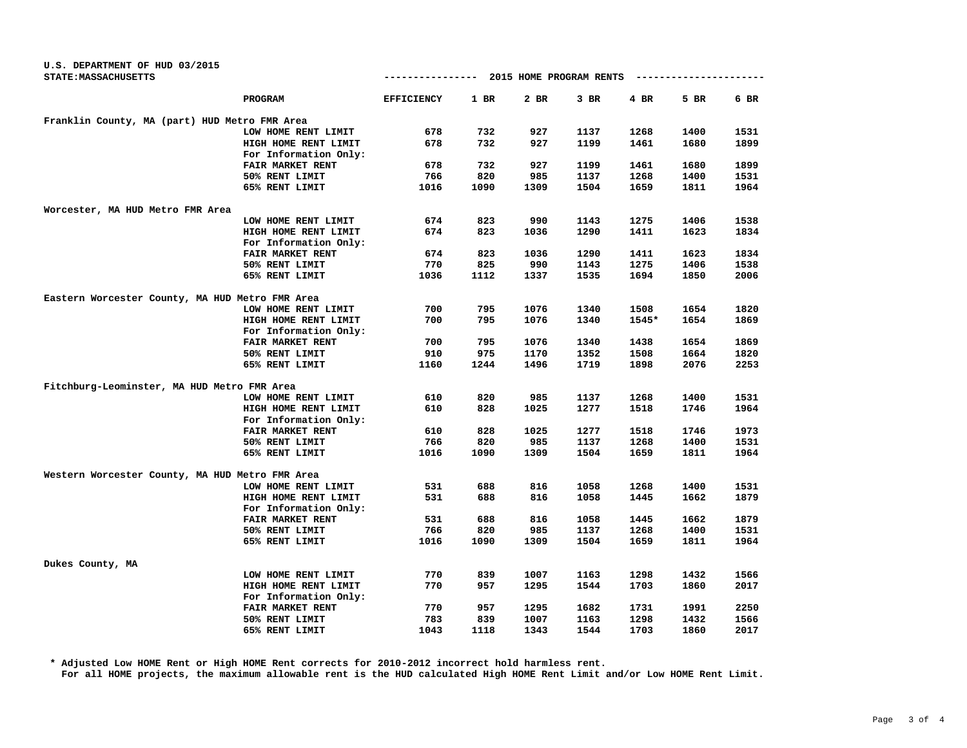| STATE: MASSACHUSETTS                            |                         | --------------- 2015 HOME PROGRAM RENTS |        |        |        |       | ---------------------- |        |
|-------------------------------------------------|-------------------------|-----------------------------------------|--------|--------|--------|-------|------------------------|--------|
|                                                 | <b>PROGRAM</b>          | <b>EFFICIENCY</b>                       | $1$ BR | $2$ BR | $3$ BR | 4 BR  | 5 BR                   | $6$ BR |
| Franklin County, MA (part) HUD Metro FMR Area   |                         |                                         |        |        |        |       |                        |        |
|                                                 | LOW HOME RENT LIMIT     | 678                                     | 732    | 927    | 1137   | 1268  | 1400                   | 1531   |
|                                                 | HIGH HOME RENT LIMIT    | 678                                     | 732    | 927    | 1199   | 1461  | 1680                   | 1899   |
|                                                 | For Information Only:   |                                         |        |        |        |       |                        |        |
|                                                 | FAIR MARKET RENT        | 678                                     | 732    | 927    | 1199   | 1461  | 1680                   | 1899   |
|                                                 | 50% RENT LIMIT          | 766                                     | 820    | 985    | 1137   | 1268  | 1400                   | 1531   |
|                                                 | 65% RENT LIMIT          | 1016                                    | 1090   | 1309   | 1504   | 1659  | 1811                   | 1964   |
| Worcester, MA HUD Metro FMR Area                |                         |                                         |        |        |        |       |                        |        |
|                                                 | LOW HOME RENT LIMIT     | 674                                     | 823    | 990    | 1143   | 1275  | 1406                   | 1538   |
|                                                 | HIGH HOME RENT LIMIT    | 674                                     | 823    | 1036   | 1290   | 1411  | 1623                   | 1834   |
|                                                 | For Information Only:   |                                         |        |        |        |       |                        |        |
|                                                 | <b>FAIR MARKET RENT</b> | 674                                     | 823    | 1036   | 1290   | 1411  | 1623                   | 1834   |
|                                                 | 50% RENT LIMIT          | 770                                     | 825    | 990    | 1143   | 1275  | 1406                   | 1538   |
|                                                 | 65% RENT LIMIT          | 1036                                    | 1112   | 1337   | 1535   | 1694  | 1850                   | 2006   |
| Eastern Worcester County, MA HUD Metro FMR Area |                         |                                         |        |        |        |       |                        |        |
|                                                 | LOW HOME RENT LIMIT     | 700                                     | 795    | 1076   | 1340   | 1508  | 1654                   | 1820   |
|                                                 | HIGH HOME RENT LIMIT    | 700                                     | 795    | 1076   | 1340   | 1545* | 1654                   | 1869   |
|                                                 | For Information Only:   |                                         |        |        |        |       |                        |        |
|                                                 | <b>FAIR MARKET RENT</b> | 700                                     | 795    | 1076   | 1340   | 1438  | 1654                   | 1869   |
|                                                 | 50% RENT LIMIT          | 910                                     | 975    | 1170   | 1352   | 1508  | 1664                   | 1820   |
|                                                 | 65% RENT LIMIT          | 1160                                    | 1244   | 1496   | 1719   | 1898  | 2076                   | 2253   |
| Fitchburg-Leominster, MA HUD Metro FMR Area     |                         |                                         |        |        |        |       |                        |        |
|                                                 | LOW HOME RENT LIMIT     | 610                                     | 820    | 985    | 1137   | 1268  | 1400                   | 1531   |
|                                                 | HIGH HOME RENT LIMIT    | 610                                     | 828    | 1025   | 1277   | 1518  | 1746                   | 1964   |
|                                                 | For Information Only:   |                                         |        |        |        |       |                        |        |
|                                                 | <b>FAIR MARKET RENT</b> | 610                                     | 828    | 1025   | 1277   | 1518  | 1746                   | 1973   |
|                                                 | 50% RENT LIMIT          | 766                                     | 820    | 985    | 1137   | 1268  | 1400                   | 1531   |
|                                                 | 65% RENT LIMIT          | 1016                                    | 1090   | 1309   | 1504   | 1659  | 1811                   | 1964   |
| Western Worcester County, MA HUD Metro FMR Area |                         |                                         |        |        |        |       |                        |        |
|                                                 | LOW HOME RENT LIMIT     | 531                                     | 688    | 816    | 1058   | 1268  | 1400                   | 1531   |
|                                                 | HIGH HOME RENT LIMIT    | 531                                     | 688    | 816    | 1058   | 1445  | 1662                   | 1879   |
|                                                 | For Information Only:   |                                         |        |        |        |       |                        |        |
|                                                 | <b>FAIR MARKET RENT</b> | 531                                     | 688    | 816    | 1058   | 1445  | 1662                   | 1879   |
|                                                 | 50% RENT LIMIT          | 766                                     | 820    | 985    | 1137   | 1268  | 1400                   | 1531   |
|                                                 | 65% RENT LIMIT          | 1016                                    | 1090   | 1309   | 1504   | 1659  | 1811                   | 1964   |
| Dukes County, MA                                |                         |                                         |        |        |        |       |                        |        |
|                                                 | LOW HOME RENT LIMIT     | 770                                     | 839    | 1007   | 1163   | 1298  | 1432                   | 1566   |
|                                                 | HIGH HOME RENT LIMIT    | 770                                     | 957    | 1295   | 1544   | 1703  | 1860                   | 2017   |
|                                                 | For Information Only:   |                                         |        |        |        |       |                        |        |
|                                                 | FAIR MARKET RENT        | 770                                     | 957    | 1295   | 1682   | 1731  | 1991                   | 2250   |
|                                                 | 50% RENT LIMIT          | 783                                     | 839    | 1007   | 1163   | 1298  | 1432                   | 1566   |
|                                                 | 65% RENT LIMIT          | 1043                                    | 1118   | 1343   | 1544   | 1703  | 1860                   | 2017   |

**U.S. DEPARTMENT OF HUD 03/2015**

**\* Adjusted Low HOME Rent or High HOME Rent corrects for 2010-2012 incorrect hold harmless rent. For all HOME projects, the maximum allowable rent is the HUD calculated High HOME Rent Limit and/or Low HOME Rent Limit.**